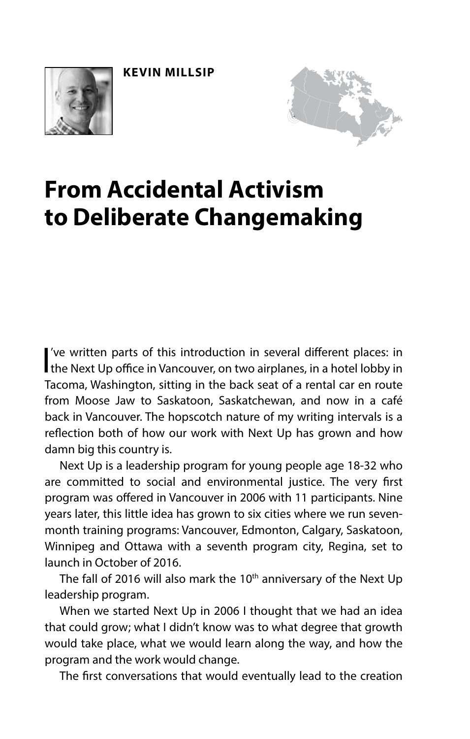**KEVIN MILLSIP**





# **From Accidental Activism to Deliberate Changemaking**

I've written parts of this introduction in several different places: in the Next Up office in Vancouver, on two airplanes, in a hotel lobby in 've written parts of this introduction in several diferent places: in Tacoma, Washington, sitting in the back seat of a rental car en route from Moose Jaw to Saskatoon, Saskatchewan, and now in a café back in Vancouver. The hopscotch nature of my writing intervals is a refection both of how our work with Next Up has grown and how damn big this country is.

Next Up is a leadership program for young people age 18-32 who are committed to social and environmental justice. The very frst program was ofered in Vancouver in 2006 with 11 participants. Nine years later, this little idea has grown to six cities where we run sevenmonth training programs: Vancouver, Edmonton, Calgary, Saskatoon, Winnipeg and Ottawa with a seventh program city, Regina, set to launch in October of 2016.

The fall of 2016 will also mark the 10<sup>th</sup> anniversary of the Next Up leadership program.

When we started Next Up in 2006 I thought that we had an idea that could grow; what I didn't know was to what degree that growth would take place, what we would learn along the way, and how the program and the work would change.

The frst conversations that would eventually lead to the creation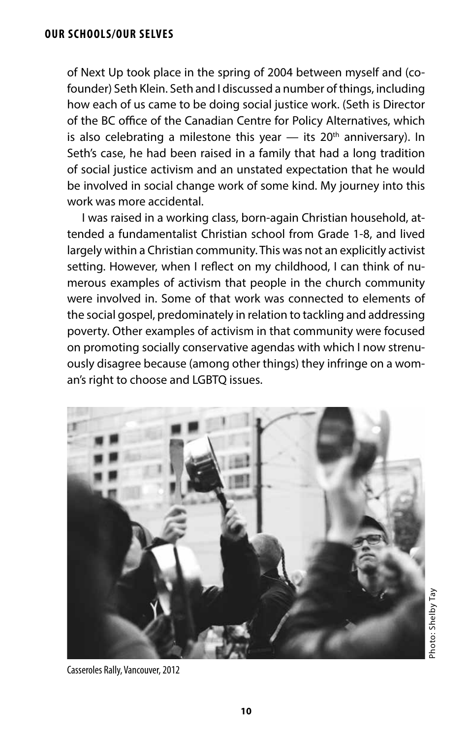### **OUR SCHOOLS/OUR SELVES**

of Next Up took place in the spring of 2004 between myself and (cofounder) Seth Klein. Seth and I discussed a number of things, including how each of us came to be doing social justice work. (Seth is Director of the BC office of the Canadian Centre for Policy Alternatives, which is also celebrating a milestone this year  $-$  its 20<sup>th</sup> anniversary). In Seth's case, he had been raised in a family that had a long tradition of social justice activism and an unstated expectation that he would be involved in social change work of some kind. My journey into this work was more accidental.

I was raised in a working class, born-again Christian household, attended a fundamentalist Christian school from Grade 1-8, and lived largely within a Christian community. This was not an explicitly activist setting. However, when I refect on my childhood, I can think of numerous examples of activism that people in the church community were involved in. Some of that work was connected to elements of the social gospel, predominately in relation to tackling and addressing poverty. Other examples of activism in that community were focused on promoting socially conservative agendas with which I now strenuously disagree because (among other things) they infringe on a woman's right to choose and LGBTQ issues.



Photo: Shelby TayPhoto: Shelby Tay

Casseroles Rally, Vancouver, 2012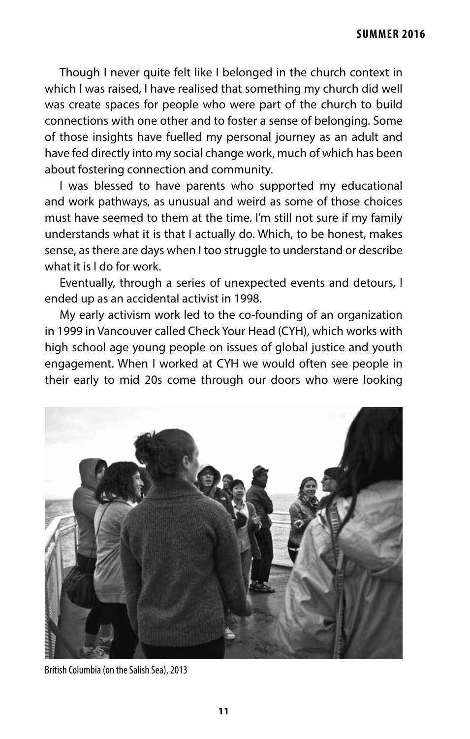Though I never quite felt like I belonged in the church context in which I was raised, I have realised that something my church did well was create spaces for people who were part of the church to build connections with one other and to foster a sense of belonging. Some of those insights have fuelled my personal journey as an adult and have fed directly into my social change work, much of which has been about fostering connection and community.

I was blessed to have parents who supported my educational and work pathways, as unusual and weird as some of those choices must have seemed to them at the time. I'm still not sure if my family understands what it is that I actually do. Which, to be honest, makes sense, as there are days when I too struggle to understand or describe what it is I do for work.

Eventually, through a series of unexpected events and detours, I ended up as an accidental activist in 1998.

My early activism work led to the co-founding of an organization in 1999 in Vancouver called Check Your Head (CYH), which works with high school age young people on issues of global justice and youth engagement. When I worked at CYH we would often see people in their early to mid 20s come through our doors who were looking



British Columbia (on the Salish Sea), 2013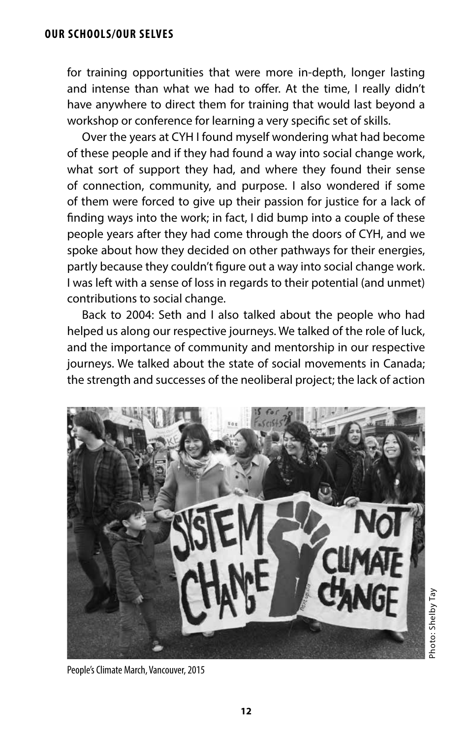for training opportunities that were more in-depth, longer lasting and intense than what we had to offer. At the time, I really didn't have anywhere to direct them for training that would last beyond a workshop or conference for learning a very specifc set of skills.

Over the years at CYH I found myself wondering what had become of these people and if they had found a way into social change work, what sort of support they had, and where they found their sense of connection, community, and purpose. I also wondered if some of them were forced to give up their passion for justice for a lack of fnding ways into the work; in fact, I did bump into a couple of these people years after they had come through the doors of CYH, and we spoke about how they decided on other pathways for their energies, partly because they couldn't fgure out a way into social change work. I was left with a sense of loss in regards to their potential (and unmet) contributions to social change.

Back to 2004: Seth and I also talked about the people who had helped us along our respective journeys. We talked of the role of luck, and the importance of community and mentorship in our respective journeys. We talked about the state of social movements in Canada; the strength and successes of the neoliberal project; the lack of action



People's Climate March, Vancouver, 2015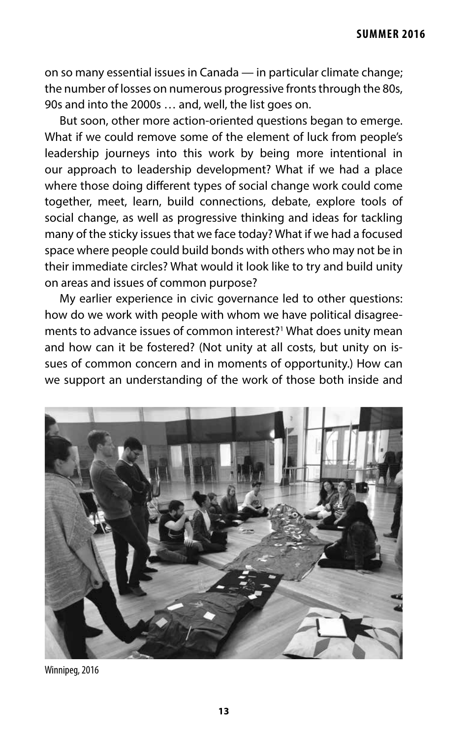on so many essential issues in Canada — in particular climate change; the number of losses on numerous progressive fronts through the 80s, 90s and into the 2000s … and, well, the list goes on.

But soon, other more action-oriented questions began to emerge. What if we could remove some of the element of luck from people's leadership journeys into this work by being more intentional in our approach to leadership development? What if we had a place where those doing diferent types of social change work could come together, meet, learn, build connections, debate, explore tools of social change, as well as progressive thinking and ideas for tackling many of the sticky issues that we face today? What if we had a focused space where people could build bonds with others who may not be in their immediate circles? What would it look like to try and build unity on areas and issues of common purpose?

My earlier experience in civic governance led to other questions: how do we work with people with whom we have political disagreements to advance issues of common interest?<sup>1</sup> What does unity mean and how can it be fostered? (Not unity at all costs, but unity on issues of common concern and in moments of opportunity.) How can we support an understanding of the work of those both inside and



Winnipeg, 2016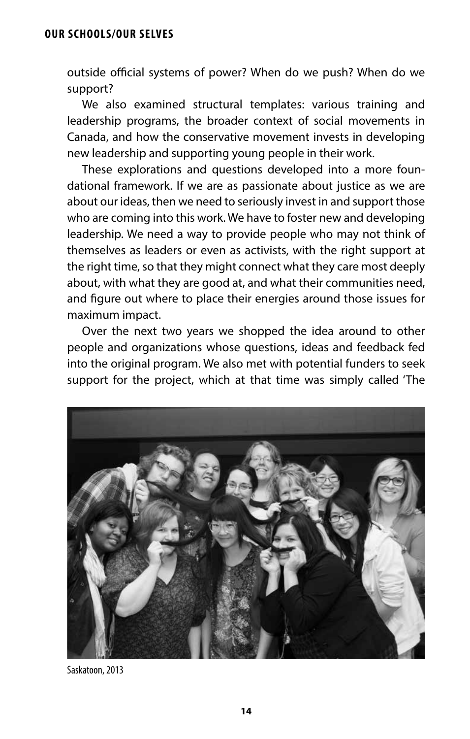outside official systems of power? When do we push? When do we support?

We also examined structural templates: various training and leadership programs, the broader context of social movements in Canada, and how the conservative movement invests in developing new leadership and supporting young people in their work.

These explorations and questions developed into a more foundational framework. If we are as passionate about justice as we are about our ideas, then we need to seriously invest in and support those who are coming into this work. We have to foster new and developing leadership. We need a way to provide people who may not think of themselves as leaders or even as activists, with the right support at the right time, so that they might connect what they care most deeply about, with what they are good at, and what their communities need, and fgure out where to place their energies around those issues for maximum impact.

Over the next two years we shopped the idea around to other people and organizations whose questions, ideas and feedback fed into the original program. We also met with potential funders to seek support for the project, which at that time was simply called 'The



Saskatoon, 2013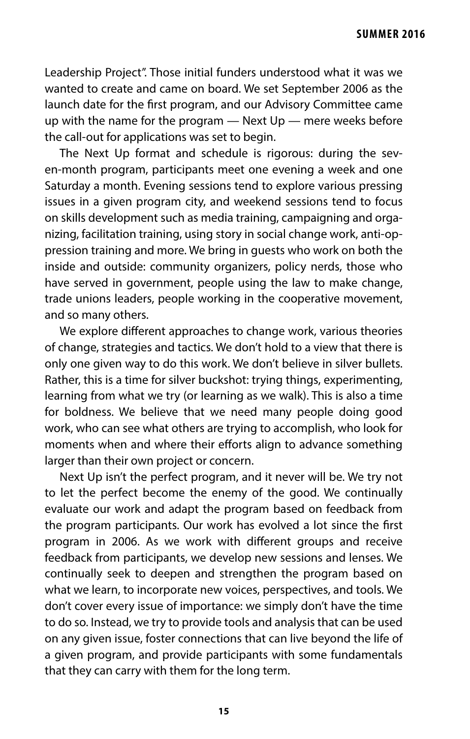Leadership Project". Those initial funders understood what it was we wanted to create and came on board. We set September 2006 as the launch date for the frst program, and our Advisory Committee came up with the name for the program  $-$  Next Up  $-$  mere weeks before the call-out for applications was set to begin.

The Next Up format and schedule is rigorous: during the seven-month program, participants meet one evening a week and one Saturday a month. Evening sessions tend to explore various pressing issues in a given program city, and weekend sessions tend to focus on skills development such as media training, campaigning and organizing, facilitation training, using story in social change work, anti-oppression training and more. We bring in guests who work on both the inside and outside: community organizers, policy nerds, those who have served in government, people using the law to make change, trade unions leaders, people working in the cooperative movement, and so many others.

We explore diferent approaches to change work, various theories of change, strategies and tactics. We don't hold to a view that there is only one given way to do this work. We don't believe in silver bullets. Rather, this is a time for silver buckshot: trying things, experimenting, learning from what we try (or learning as we walk). This is also a time for boldness. We believe that we need many people doing good work, who can see what others are trying to accomplish, who look for moments when and where their efforts align to advance something larger than their own project or concern.

Next Up isn't the perfect program, and it never will be. We try not to let the perfect become the enemy of the good. We continually evaluate our work and adapt the program based on feedback from the program participants. Our work has evolved a lot since the frst program in 2006. As we work with diferent groups and receive feedback from participants, we develop new sessions and lenses. We continually seek to deepen and strengthen the program based on what we learn, to incorporate new voices, perspectives, and tools. We don't cover every issue of importance: we simply don't have the time to do so. Instead, we try to provide tools and analysis that can be used on any given issue, foster connections that can live beyond the life of a given program, and provide participants with some fundamentals that they can carry with them for the long term.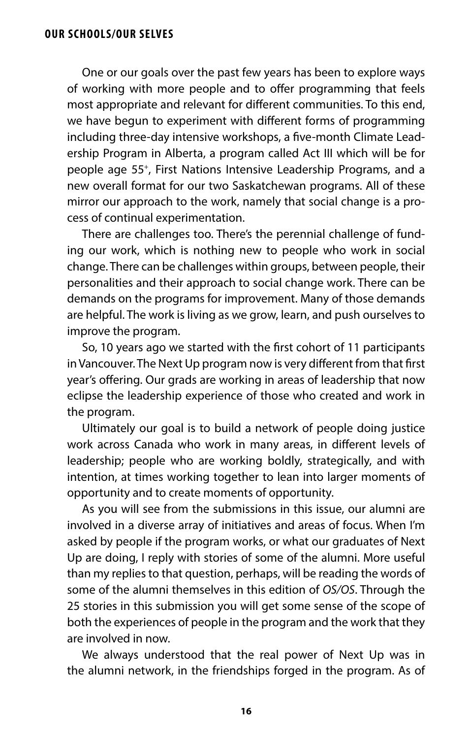### **OUR SCHOOLS/OUR SELVES**

One or our goals over the past few years has been to explore ways of working with more people and to offer programming that feels most appropriate and relevant for diferent communities. To this end, we have begun to experiment with diferent forms of programming including three-day intensive workshops, a fve-month Climate Leadership Program in Alberta, a program called Act III which will be for people age 55+, First Nations Intensive Leadership Programs, and a new overall format for our two Saskatchewan programs. All of these mirror our approach to the work, namely that social change is a process of continual experimentation.

There are challenges too. There's the perennial challenge of funding our work, which is nothing new to people who work in social change. There can be challenges within groups, between people, their personalities and their approach to social change work. There can be demands on the programs for improvement. Many of those demands are helpful. The work is living as we grow, learn, and push ourselves to improve the program.

So, 10 years ago we started with the frst cohort of 11 participants in Vancouver. The Next Up program now is very diferent from that frst year's offering. Our grads are working in areas of leadership that now eclipse the leadership experience of those who created and work in the program.

Ultimately our goal is to build a network of people doing justice work across Canada who work in many areas, in diferent levels of leadership; people who are working boldly, strategically, and with intention, at times working together to lean into larger moments of opportunity and to create moments of opportunity.

As you will see from the submissions in this issue, our alumni are involved in a diverse array of initiatives and areas of focus. When I'm asked by people if the program works, or what our graduates of Next Up are doing, I reply with stories of some of the alumni. More useful than my replies to that question, perhaps, will be reading the words of some of the alumni themselves in this edition of *OS/OS*. Through the 25 stories in this submission you will get some sense of the scope of both the experiences of people in the program and the work that they are involved in now.

We always understood that the real power of Next Up was in the alumni network, in the friendships forged in the program. As of

**16**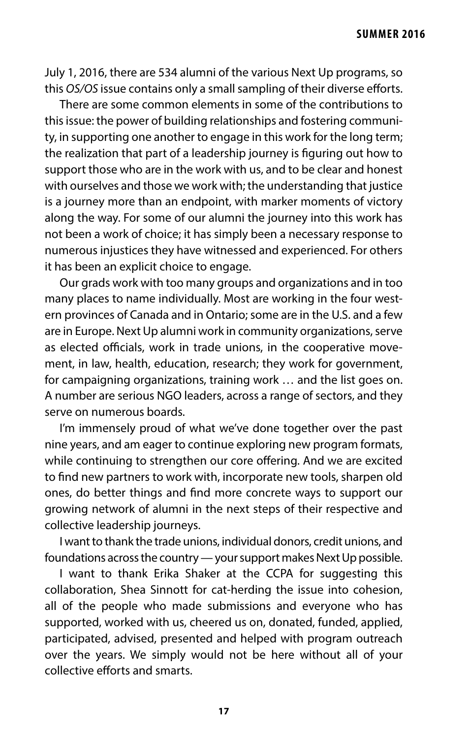July 1, 2016, there are 534 alumni of the various Next Up programs, so this *OS/OS* issue contains only a small sampling of their diverse eforts.

There are some common elements in some of the contributions to this issue: the power of building relationships and fostering community, in supporting one another to engage in this work for the long term; the realization that part of a leadership journey is fguring out how to support those who are in the work with us, and to be clear and honest with ourselves and those we work with; the understanding that justice is a journey more than an endpoint, with marker moments of victory along the way. For some of our alumni the journey into this work has not been a work of choice; it has simply been a necessary response to numerous injustices they have witnessed and experienced. For others it has been an explicit choice to engage.

Our grads work with too many groups and organizations and in too many places to name individually. Most are working in the four western provinces of Canada and in Ontario; some are in the U.S. and a few are in Europe. Next Up alumni work in community organizations, serve as elected officials, work in trade unions, in the cooperative movement, in law, health, education, research; they work for government, for campaigning organizations, training work … and the list goes on. A number are serious NGO leaders, across a range of sectors, and they serve on numerous boards.

I'm immensely proud of what we've done together over the past nine years, and am eager to continue exploring new program formats, while continuing to strengthen our core offering. And we are excited to fnd new partners to work with, incorporate new tools, sharpen old ones, do better things and fnd more concrete ways to support our growing network of alumni in the next steps of their respective and collective leadership journeys.

I want to thank the trade unions, individual donors, credit unions, and foundations across the country — your support makes Next Up possible.

I want to thank Erika Shaker at the CCPA for suggesting this collaboration, Shea Sinnott for cat-herding the issue into cohesion, all of the people who made submissions and everyone who has supported, worked with us, cheered us on, donated, funded, applied, participated, advised, presented and helped with program outreach over the years. We simply would not be here without all of your collective efforts and smarts.